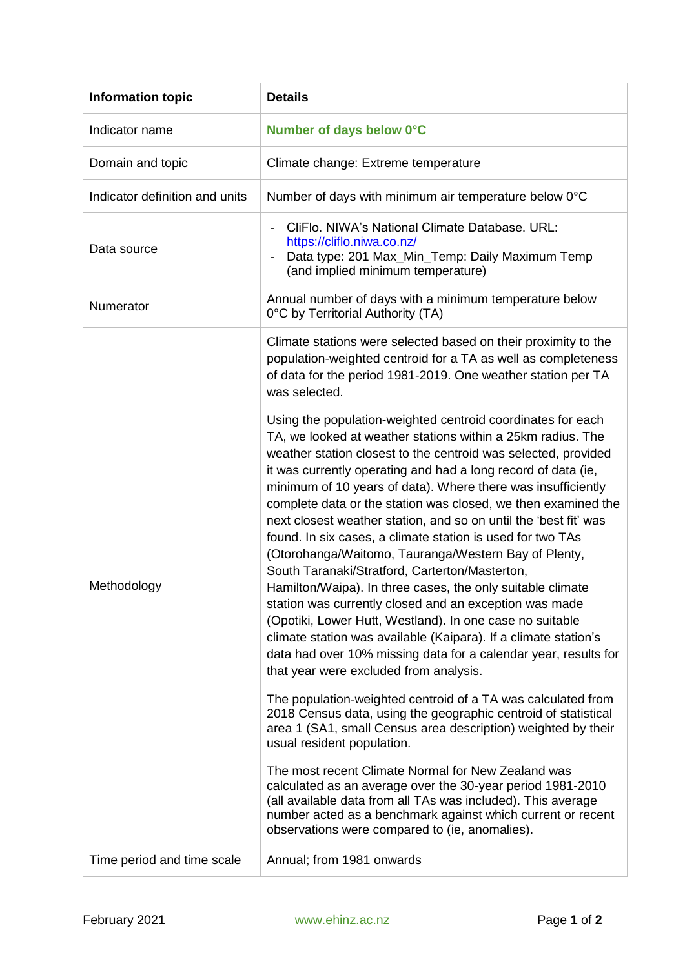| <b>Information topic</b>       | <b>Details</b>                                                                                                                                                                                                                                                                                                                                                                                                                                                                                                                                                                                                                                                                                                                                                                                                                                                                                                                                                                                                                                                                                                                                                                                                                                                                                                                                                                                                                                                                                                                                                                                                                                                                                                                                                           |
|--------------------------------|--------------------------------------------------------------------------------------------------------------------------------------------------------------------------------------------------------------------------------------------------------------------------------------------------------------------------------------------------------------------------------------------------------------------------------------------------------------------------------------------------------------------------------------------------------------------------------------------------------------------------------------------------------------------------------------------------------------------------------------------------------------------------------------------------------------------------------------------------------------------------------------------------------------------------------------------------------------------------------------------------------------------------------------------------------------------------------------------------------------------------------------------------------------------------------------------------------------------------------------------------------------------------------------------------------------------------------------------------------------------------------------------------------------------------------------------------------------------------------------------------------------------------------------------------------------------------------------------------------------------------------------------------------------------------------------------------------------------------------------------------------------------------|
| Indicator name                 | Number of days below 0°C                                                                                                                                                                                                                                                                                                                                                                                                                                                                                                                                                                                                                                                                                                                                                                                                                                                                                                                                                                                                                                                                                                                                                                                                                                                                                                                                                                                                                                                                                                                                                                                                                                                                                                                                                 |
| Domain and topic               | Climate change: Extreme temperature                                                                                                                                                                                                                                                                                                                                                                                                                                                                                                                                                                                                                                                                                                                                                                                                                                                                                                                                                                                                                                                                                                                                                                                                                                                                                                                                                                                                                                                                                                                                                                                                                                                                                                                                      |
| Indicator definition and units | Number of days with minimum air temperature below 0°C                                                                                                                                                                                                                                                                                                                                                                                                                                                                                                                                                                                                                                                                                                                                                                                                                                                                                                                                                                                                                                                                                                                                                                                                                                                                                                                                                                                                                                                                                                                                                                                                                                                                                                                    |
| Data source                    | CliFlo. NIWA's National Climate Database. URL:<br>https://cliflo.niwa.co.nz/<br>Data type: 201 Max_Min_Temp: Daily Maximum Temp<br>(and implied minimum temperature)                                                                                                                                                                                                                                                                                                                                                                                                                                                                                                                                                                                                                                                                                                                                                                                                                                                                                                                                                                                                                                                                                                                                                                                                                                                                                                                                                                                                                                                                                                                                                                                                     |
| Numerator                      | Annual number of days with a minimum temperature below<br>0°C by Territorial Authority (TA)                                                                                                                                                                                                                                                                                                                                                                                                                                                                                                                                                                                                                                                                                                                                                                                                                                                                                                                                                                                                                                                                                                                                                                                                                                                                                                                                                                                                                                                                                                                                                                                                                                                                              |
| Methodology                    | Climate stations were selected based on their proximity to the<br>population-weighted centroid for a TA as well as completeness<br>of data for the period 1981-2019. One weather station per TA<br>was selected.<br>Using the population-weighted centroid coordinates for each<br>TA, we looked at weather stations within a 25km radius. The<br>weather station closest to the centroid was selected, provided<br>it was currently operating and had a long record of data (ie,<br>minimum of 10 years of data). Where there was insufficiently<br>complete data or the station was closed, we then examined the<br>next closest weather station, and so on until the 'best fit' was<br>found. In six cases, a climate station is used for two TAs<br>(Otorohanga/Waitomo, Tauranga/Western Bay of Plenty,<br>South Taranaki/Stratford, Carterton/Masterton,<br>Hamilton/Waipa). In three cases, the only suitable climate<br>station was currently closed and an exception was made<br>(Opotiki, Lower Hutt, Westland). In one case no suitable<br>climate station was available (Kaipara). If a climate station's<br>data had over 10% missing data for a calendar year, results for<br>that year were excluded from analysis.<br>The population-weighted centroid of a TA was calculated from<br>2018 Census data, using the geographic centroid of statistical<br>area 1 (SA1, small Census area description) weighted by their<br>usual resident population.<br>The most recent Climate Normal for New Zealand was<br>calculated as an average over the 30-year period 1981-2010<br>(all available data from all TAs was included). This average<br>number acted as a benchmark against which current or recent<br>observations were compared to (ie, anomalies). |
| Time period and time scale     | Annual; from 1981 onwards                                                                                                                                                                                                                                                                                                                                                                                                                                                                                                                                                                                                                                                                                                                                                                                                                                                                                                                                                                                                                                                                                                                                                                                                                                                                                                                                                                                                                                                                                                                                                                                                                                                                                                                                                |